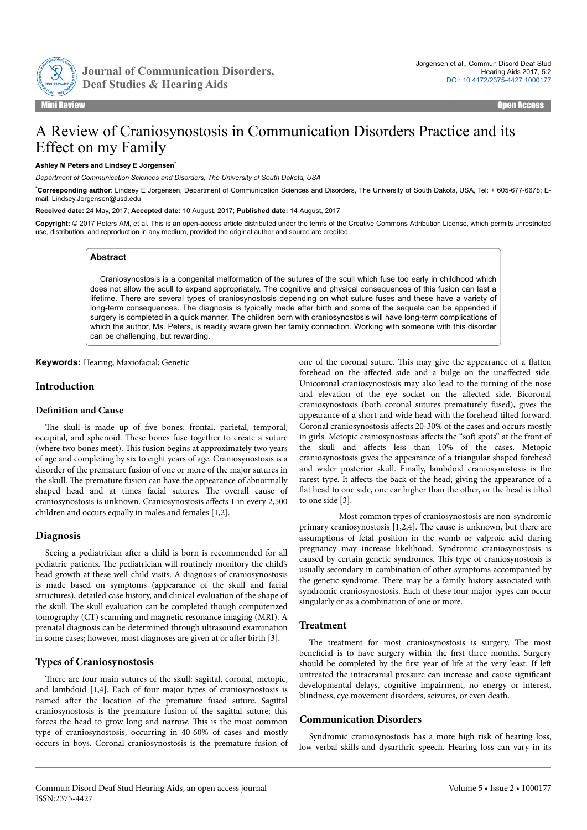

Journal of Communication Disorders,

# A Review of Craniosynostosis in Communication Disorders Practice and its Effect on my Family

#### **Ashley M Peters and Lindsey E Jorgensen**\*

*Department of Communication Sciences and Disorders, The University of South Dakota, USA*

\***Corresponding author**: Lindsey E Jorgensen, Department of Communication Sciences and Disorders, The University of South Dakota, USA, Tel: + 605-677-6678; Email: Lindsey.Jorgensen@usd.edu

**Received date:** 24 May, 2017; **Accepted date:** 10 August, 2017; **Published date:** 14 August, 2017

**Copyright:** © 2017 Peters AM, et al. This is an open-access article distributed under the terms of the Creative Commons Attribution License, which permits unrestricted use, distribution, and reproduction in any medium, provided the original author and source are credited.

# **Abstract**

Craniosynostosis is a congenital malformation of the sutures of the scull which fuse too early in childhood which does not allow the scull to expand appropriately. The cognitive and physical consequences of this fusion can last a lifetime. There are several types of craniosynostosis depending on what suture fuses and these have a variety of long-term consequences. The diagnosis is typically made after birth and some of the sequela can be appended if surgery is completed in a quick manner. The children born with craniosynostosis will have long-term complications of which the author, Ms. Peters, is readily aware given her family connection. Working with someone with this disorder can be challenging, but rewarding.

**Keywords:** Hearing; Maxiofacial; Genetic

# **Introduction**

## **Definition and Cause**

The skull is made up of five bones: frontal, parietal, temporal, occipital, and sphenoid. Нese bones fuse together to create a suture (where two bones meet). This fusion begins at approximately two years of age and completing by six to eight years of age. Craniosynostosis is a disorder of the premature fusion of one or more of the major sutures in the skull. Нe premature fusion can have the appearance of abnormally shaped head and at times facial sutures. Нe overall cause of craniosynostosis is unknown. Craniosynostosis affects 1 in every 2,500 children and occurs equally in males and females [1,2].

#### **Diagnosis**

Seeing a pediatrician after a child is born is recommended for all pediatric patients. Нe pediatrician will routinely monitory the child's head growth at these well-child visits. A diagnosis of craniosynostosis is made based on symptoms (appearance of the skull and facial structures), detailed case history, and clinical evaluation of the shape of the skull. Нe skull evaluation can be completed though computerized tomography (CT) scanning and magnetic resonance imaging (MRI). A prenatal diagnosis can be determined through ultrasound examination in some cases; however, most diagnoses are given at or after birth [3].

# **Types of Craniosynostosis**

There are four main sutures of the skull: sagittal, coronal, metopic, and lambdoid [1,4]. Each of four major types of craniosynostosis is named after the location of the premature fused suture. Sagittal craniosynostosis is the premature fusion of the sagittal suture; this forces the head to grow long and narrow. This is the most common type of craniosynostosis, occurring in 40-60% of cases and mostly occurs in boys. Coronal craniosynostosis is the premature fusion of one of the coronal suture. This may give the appearance of a flatten forehead on the affected side and a bulge on the unaffected side. Unicoronal craniosynostosis may also lead to the turning of the nose and elevation of the eye socket on the affected side. Bicoronal craniosynostosis (both coronal sutures prematurely fused), gives the appearance of a short and wide head with the forehead tilted forward. Coronal craniosynostosis affects 20-30% of the cases and occurs mostly in girls. Metopic craniosynostosis affects the "soft spots" at the front of the skull and affects less than 10% of the cases. Metopic craniosynostosis gives the appearance of a triangular shaped forehead and wider posterior skull. Finally, lambdoid craniosynostosis is the rarest type. It affects the back of the head; giving the appearance of a flat head to one side, one ear higher than the other, or the head is tilted to one side [3].

Most common types of craniosynostosis are non-syndromic primary craniosynostosis [1,2,4]. Нe cause is unknown, but there are assumptions of fetal position in the womb or valproic acid during pregnancy may increase likelihood. Syndromic craniosynostosis is caused by certain genetic syndromes. This type of craniosynostosis is usually secondary in combination of other symptoms accompanied by the genetic syndrome. Нere may be a family history associated with syndromic craniosynostosis. Each of these four major types can occur singularly or as a combination of one or more.

# **Treatment**

The treatment for most craniosynostosis is surgery. The most beneficial is to have surgery within the first three months. Surgery should be completed by the first year of life at the very least. If left untreated the intracranial pressure can increase and cause significant developmental delays, cognitive impairment, no energy or interest, blindness, eye movement disorders, seizures, or even death.

#### **Communication Disorders**

Syndromic craniosynostosis has a more high risk of hearing loss, low verbal skills and dysarthric speech. Hearing loss can vary in its